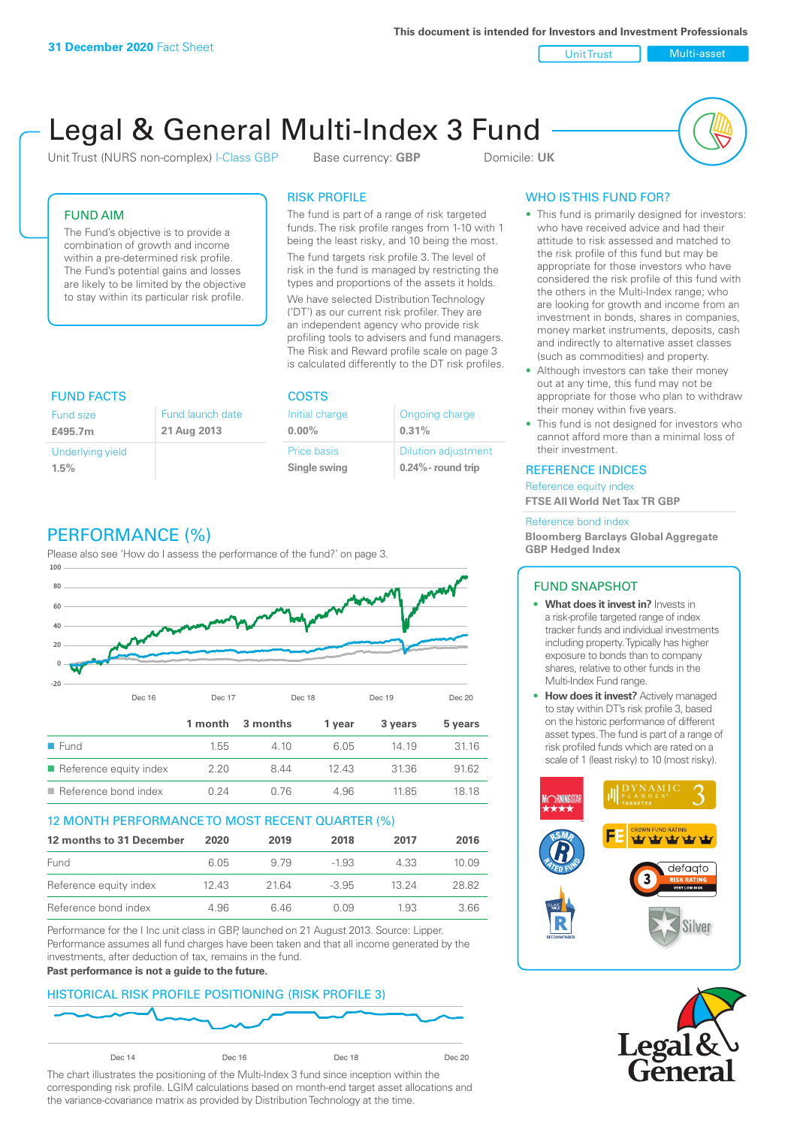**This document is intended for Investors and Investment Professionals**

Unit Trust Nulti-asset

# Legal & General Multi-Index 3 Fund

Unit Trust (NURS non-complex) I-Class GBP Base currency: **GBP** Domicile: UK



## FUND AIM

The Fund's objective is to provide a combination of growth and income within a pre-determined risk profile. The Fund's potential gains and losses are likely to be limited by the objective to stay within its particular risk profile.

#### RISK PROFILE

The fund is part of a range of risk targeted funds. The risk profile ranges from 1-10 with 1 being the least risky, and 10 being the most.

The fund targets risk profile 3. The level of risk in the fund is managed by restricting the types and proportions of the assets it holds. We have selected Distribution Technology ('DT') as our current risk profiler. They are an independent agency who provide risk profiling tools to advisers and fund managers. The Risk and Reward profile scale on page 3 is calculated differently to the DT risk profiles.

| <b>FUND FACTS</b> |                  | <b>COSTS</b>   |                            |  |
|-------------------|------------------|----------------|----------------------------|--|
| <b>Fund size</b>  | Fund launch date | Initial charge | Ongoing charge             |  |
| £495.7m           | 21 Aug 2013      | $0.00\%$       | 0.31%                      |  |
| Underlying yield  |                  | Price basis    | <b>Dilution adjustment</b> |  |
| 1.5%              |                  | Single swing   | $0.24\%$ - round trip      |  |

# PERFORMANCE (%)

Please also see 'How do I assess the performance of the fund?' on page 3.



#### 12 MONTH PERFORMANCE TO MOST RECENT QUARTER (%)

| 12 months to 31 December | 2020  | 2019  | 2018    | 2017  | 2016  |
|--------------------------|-------|-------|---------|-------|-------|
| Fund                     | 6.05  | 9.79  | $-1.93$ | 4.33  | 10.09 |
| Reference equity index   | 12.43 | 21.64 | $-3.95$ | 13.24 | 28.82 |
| Reference bond index     | 4.96  | 646   | O O.9   | 1.93  | 3.66  |

Performance for the I Inc unit class in GBP, launched on 21 August 2013. Source: Lipper. Performance assumes all fund charges have been taken and that all income generated by the investments, after deduction of tax, remains in the fund.

#### **Past performance is not a guide to the future.**

## HISTORICAL RISK PROFILE POSITIONING (RISK PROFILE 3)



The chart illustrates the positioning of the Multi-Index 3 fund since inception within the corresponding risk profile. LGIM calculations based on month-end target asset allocations and the variance-covariance matrix as provided by Distribution Technology at the time.

# WHO IS THIS FUND FOR?

- This fund is primarily designed for investors: who have received advice and had their attitude to risk assessed and matched to the risk profile of this fund but may be appropriate for those investors who have considered the risk profile of this fund with the others in the Multi-Index range; who are looking for growth and income from an investment in bonds, shares in companies, money market instruments, deposits, cash and indirectly to alternative asset classes (such as commodities) and property.
- Although investors can take their money out at any time, this fund may not be appropriate for those who plan to withdraw their money within five years.
- This fund is not designed for investors who cannot afford more than a minimal loss of their investment.

#### REFERENCE INDICES

Reference equity index **FTSE All World Net Tax TR GBP**

#### Reference bond index

**Bloomberg Barclays Global Aggregate GBP Hedged Index**

#### FUND SNAPSHOT

- **• What does it invest in?** Invests in a risk-profile targeted range of index tracker funds and individual investments including property. Typically has higher exposure to bonds than to company shares, relative to other funds in the Multi-Index Fund range.
- **• How does it invest?** Actively managed to stay within DT's risk profile 3, based on the historic performance of different asset types. The fund is part of a range of risk profiled funds which are rated on a scale of 1 (least risky) to 10 (most risky).



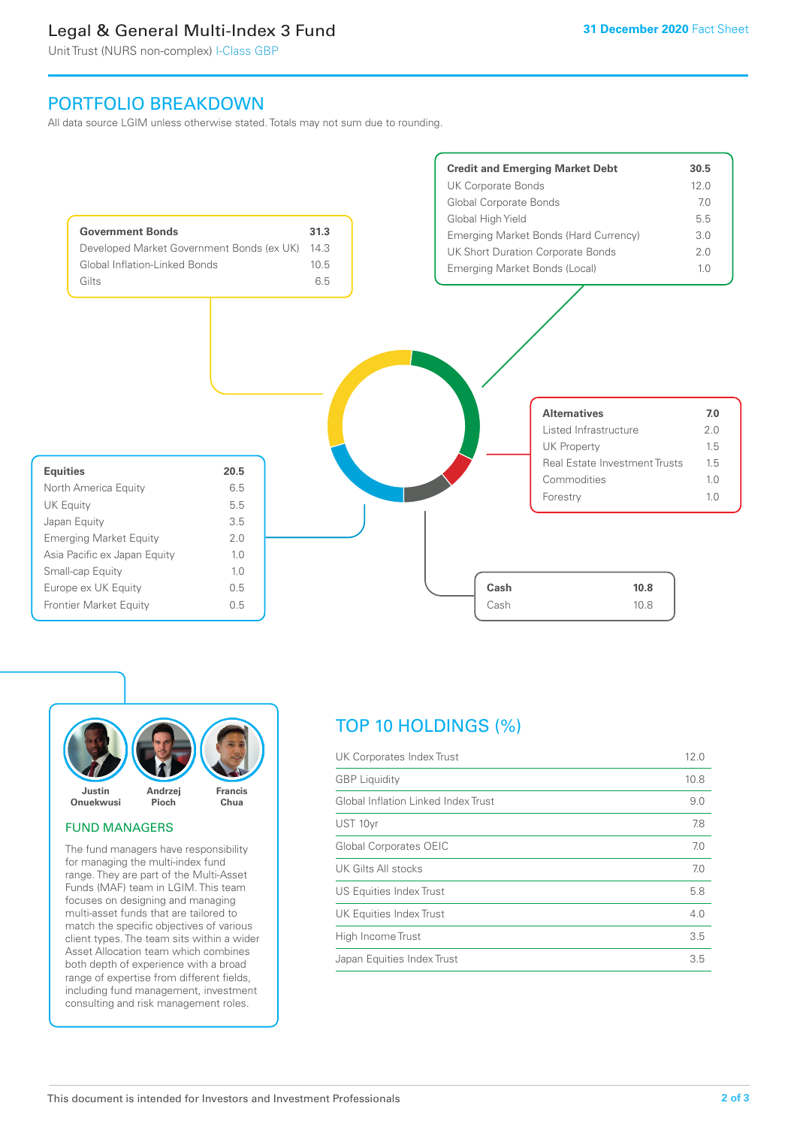# Legal & General Multi-Index 3 Fund

Unit Trust (NURS non-complex) I-Class GBP

# PORTFOLIO BREAKDOWN

All data source LGIM unless otherwise stated. Totals may not sum due to rounding.





#### FUND MANAGERS

The fund managers have responsibility for managing the multi-index fund range. They are part of the Multi-Asset Funds (MAF) team in LGIM. This team focuses on designing and managing multi-asset funds that are tailored to match the specific objectives of various client types. The team sits within a wider Asset Allocation team which combines both depth of experience with a broad range of expertise from different fields, including fund management, investment consulting and risk management roles.

# TOP 10 HOLDINGS (%)

| <b>GBP</b> Liquidity<br>10.8        |     |
|-------------------------------------|-----|
| Global Inflation Linked Index Trust | 9.0 |
| UST 10yr                            | 7.8 |
| <b>Global Corporates OEIC</b>       | 7.0 |
| UK Gilts All stocks                 | 7.0 |
| US Equities Index Trust             | 5.8 |
| UK Equities Index Trust             | 4.0 |
| High Income Trust                   | 3.5 |
| Japan Equities Index Trust          | 3.5 |